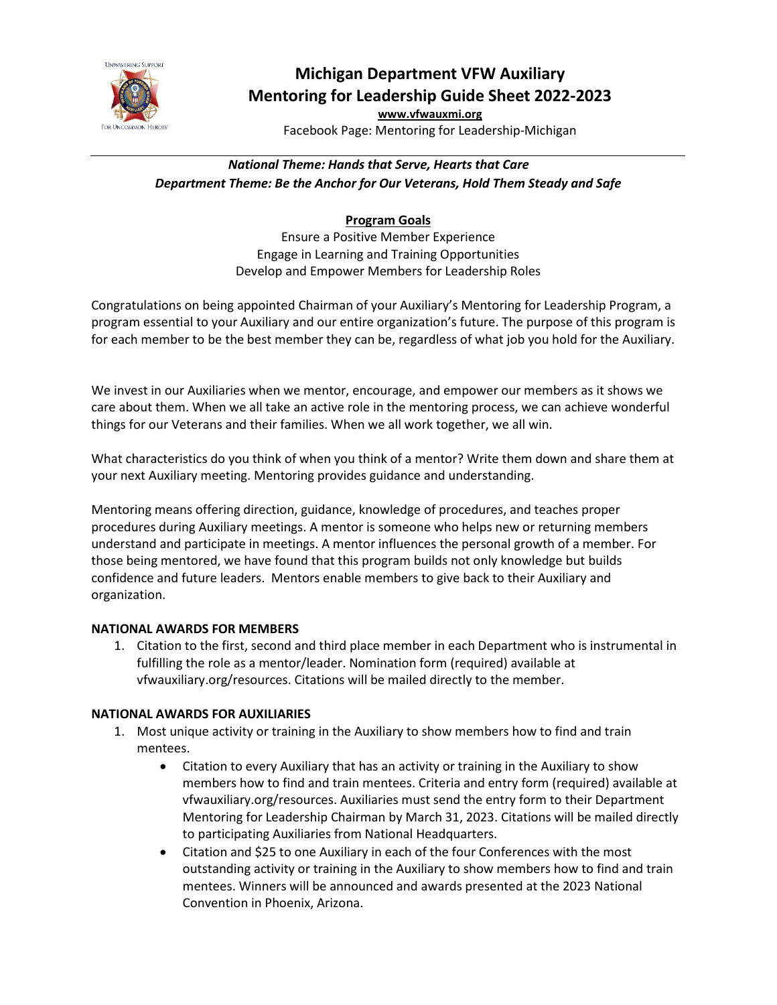

# **Michigan Department VFW Auxiliary Mentoring for Leadership Guide Sheet 2022-2023**

**[www.vfwauxmi.org](http://www.vfwauxmi.org/)** Facebook Page: Mentoring for Leadership-Michigan

## *National Theme: Hands that Serve, Hearts that Care Department Theme: Be the Anchor for Our Veterans, Hold Them Steady and Safe*

## **Program Goals**

Ensure a Positive Member Experience Engage in Learning and Training Opportunities Develop and Empower Members for Leadership Roles

Congratulations on being appointed Chairman of your Auxiliary's Mentoring for Leadership Program, a program essential to your Auxiliary and our entire organization's future. The purpose of this program is for each member to be the best member they can be, regardless of what job you hold for the Auxiliary.

We invest in our Auxiliaries when we mentor, encourage, and empower our members as it shows we care about them. When we all take an active role in the mentoring process, we can achieve wonderful things for our Veterans and their families. When we all work together, we all win.

What characteristics do you think of when you think of a mentor? Write them down and share them at your next Auxiliary meeting. Mentoring provides guidance and understanding.

Mentoring means offering direction, guidance, knowledge of procedures, and teaches proper procedures during Auxiliary meetings. A mentor is someone who helps new or returning members understand and participate in meetings. A mentor influences the personal growth of a member. For those being mentored, we have found that this program builds not only knowledge but builds confidence and future leaders. Mentors enable members to give back to their Auxiliary and organization.

### **NATIONAL AWARDS FOR MEMBERS**

1. Citation to the first, second and third place member in each Department who is instrumental in fulfilling the role as a mentor/leader. Nomination form (required) available at vfwauxiliary.org/resources. Citations will be mailed directly to the member.

### **NATIONAL AWARDS FOR AUXILIARIES**

- 1. Most unique activity or training in the Auxiliary to show members how to find and train mentees.
	- Citation to every Auxiliary that has an activity or training in the Auxiliary to show members how to find and train mentees. Criteria and entry form (required) available at vfwauxiliary.org/resources. Auxiliaries must send the entry form to their Department Mentoring for Leadership Chairman by March 31, 2023. Citations will be mailed directly to participating Auxiliaries from National Headquarters.
	- Citation and \$25 to one Auxiliary in each of the four Conferences with the most outstanding activity or training in the Auxiliary to show members how to find and train mentees. Winners will be announced and awards presented at the 2023 National Convention in Phoenix, Arizona.